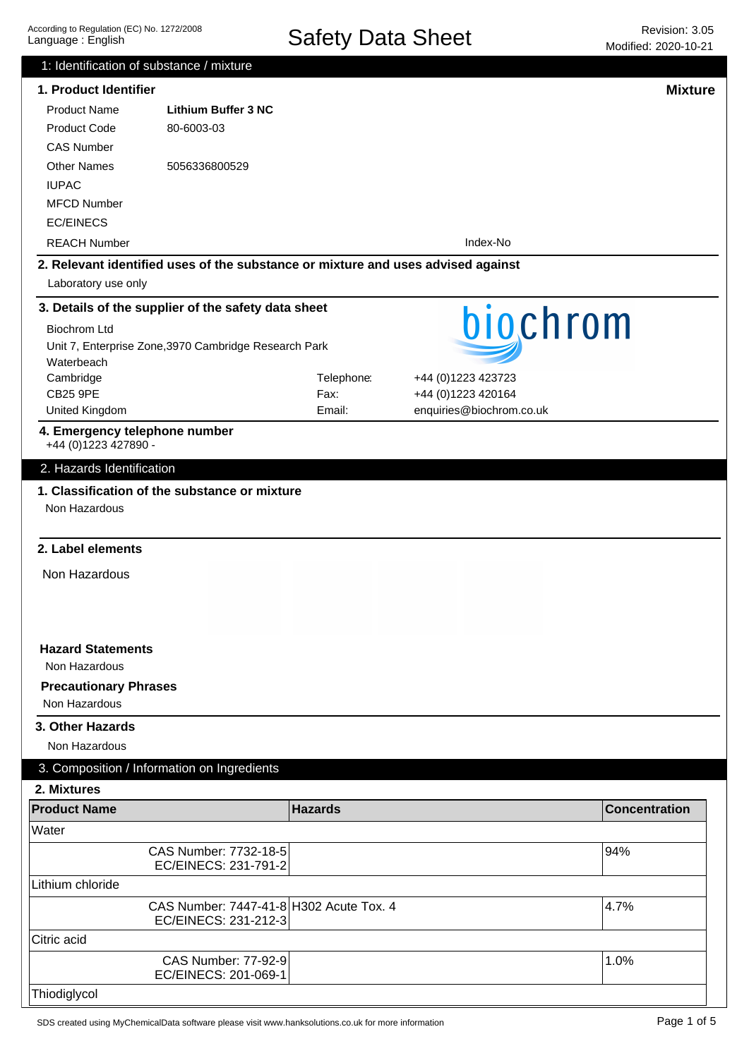|                                                                                  | 1: Identification of substance / mixture           |                |                          |                      |
|----------------------------------------------------------------------------------|----------------------------------------------------|----------------|--------------------------|----------------------|
| 1. Product Identifier                                                            |                                                    |                |                          | <b>Mixture</b>       |
| <b>Product Name</b>                                                              | <b>Lithium Buffer 3 NC</b>                         |                |                          |                      |
| <b>Product Code</b>                                                              | 80-6003-03                                         |                |                          |                      |
| <b>CAS Number</b>                                                                |                                                    |                |                          |                      |
| <b>Other Names</b>                                                               | 5056336800529                                      |                |                          |                      |
| <b>IUPAC</b>                                                                     |                                                    |                |                          |                      |
| <b>MFCD Number</b>                                                               |                                                    |                |                          |                      |
| <b>EC/EINECS</b>                                                                 |                                                    |                |                          |                      |
| <b>REACH Number</b>                                                              |                                                    |                | Index-No                 |                      |
| 2. Relevant identified uses of the substance or mixture and uses advised against |                                                    |                |                          |                      |
| Laboratory use only                                                              |                                                    |                |                          |                      |
| 3. Details of the supplier of the safety data sheet                              |                                                    |                |                          |                      |
|                                                                                  |                                                    |                | biochrom                 |                      |
| <b>Biochrom Ltd</b>                                                              |                                                    |                |                          |                      |
| Unit 7, Enterprise Zone, 3970 Cambridge Research Park<br>Waterbeach              |                                                    |                |                          |                      |
| Cambridge                                                                        |                                                    | Telephone:     | +44 (0)1223 423723       |                      |
| <b>CB25 9PE</b>                                                                  |                                                    | Fax:           | +44 (0)1223 420164       |                      |
| United Kingdom                                                                   |                                                    | Email:         | enquiries@biochrom.co.uk |                      |
| 4. Emergency telephone number                                                    |                                                    |                |                          |                      |
| +44 (0) 1223 427890 -                                                            |                                                    |                |                          |                      |
| 2. Hazards Identification                                                        |                                                    |                |                          |                      |
| 1. Classification of the substance or mixture                                    |                                                    |                |                          |                      |
| Non Hazardous                                                                    |                                                    |                |                          |                      |
|                                                                                  |                                                    |                |                          |                      |
| 2. Label elements                                                                |                                                    |                |                          |                      |
|                                                                                  |                                                    |                |                          |                      |
| Non Hazardous                                                                    |                                                    |                |                          |                      |
|                                                                                  |                                                    |                |                          |                      |
|                                                                                  |                                                    |                |                          |                      |
|                                                                                  |                                                    |                |                          |                      |
| <b>Hazard Statements</b>                                                         |                                                    |                |                          |                      |
| Non Hazardous                                                                    |                                                    |                |                          |                      |
| <b>Precautionary Phrases</b>                                                     |                                                    |                |                          |                      |
| Non Hazardous                                                                    |                                                    |                |                          |                      |
| 3. Other Hazards                                                                 |                                                    |                |                          |                      |
| Non Hazardous                                                                    |                                                    |                |                          |                      |
| 3. Composition / Information on Ingredients                                      |                                                    |                |                          |                      |
|                                                                                  |                                                    |                |                          |                      |
| 2. Mixtures                                                                      |                                                    |                |                          |                      |
| <b>Product Name</b>                                                              |                                                    | <b>Hazards</b> |                          |                      |
|                                                                                  |                                                    |                |                          | <b>Concentration</b> |
| Water                                                                            |                                                    |                |                          |                      |
|                                                                                  | CAS Number: 7732-18-5                              |                |                          | 94%                  |
|                                                                                  | EC/EINECS: 231-791-2                               |                |                          |                      |
| Lithium chloride                                                                 |                                                    |                |                          |                      |
|                                                                                  | CAS Number: 7447-41-8 H302 Acute Tox. 4            |                |                          | 4.7%                 |
|                                                                                  | EC/EINECS: 231-212-3                               |                |                          |                      |
| Citric acid                                                                      |                                                    |                |                          |                      |
|                                                                                  | <b>CAS Number: 77-92-9</b><br>EC/EINECS: 201-069-1 |                |                          | 1.0%                 |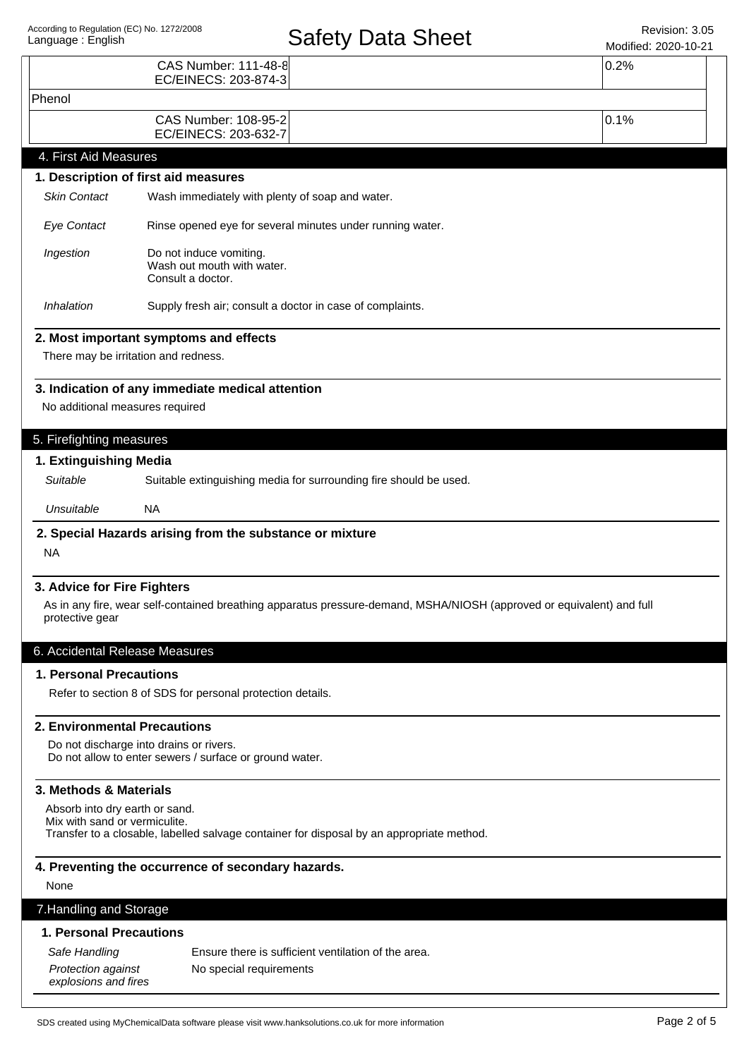# Safety Data Sheet Revision: 3.05

| Language: English                                                     |                                                                                                    | <b>Salely Dala Sileel</b>                                                                                             | Modified: 2020-10-21 |  |
|-----------------------------------------------------------------------|----------------------------------------------------------------------------------------------------|-----------------------------------------------------------------------------------------------------------------------|----------------------|--|
|                                                                       | CAS Number: 111-48-8<br>EC/EINECS: 203-874-3                                                       |                                                                                                                       | 0.2%                 |  |
| Phenol                                                                |                                                                                                    |                                                                                                                       |                      |  |
|                                                                       | CAS Number: 108-95-2<br>EC/EINECS: 203-632-7                                                       |                                                                                                                       | 0.1%                 |  |
| 4. First Aid Measures                                                 |                                                                                                    |                                                                                                                       |                      |  |
|                                                                       | 1. Description of first aid measures                                                               |                                                                                                                       |                      |  |
| <b>Skin Contact</b>                                                   | Wash immediately with plenty of soap and water.                                                    |                                                                                                                       |                      |  |
| <b>Eye Contact</b>                                                    | Rinse opened eye for several minutes under running water.                                          |                                                                                                                       |                      |  |
| Ingestion                                                             | Do not induce vomiting.<br>Wash out mouth with water.<br>Consult a doctor.                         |                                                                                                                       |                      |  |
| Inhalation                                                            | Supply fresh air; consult a doctor in case of complaints.                                          |                                                                                                                       |                      |  |
|                                                                       | 2. Most important symptoms and effects                                                             |                                                                                                                       |                      |  |
| There may be irritation and redness.                                  |                                                                                                    |                                                                                                                       |                      |  |
|                                                                       | 3. Indication of any immediate medical attention                                                   |                                                                                                                       |                      |  |
| No additional measures required                                       |                                                                                                    |                                                                                                                       |                      |  |
|                                                                       |                                                                                                    |                                                                                                                       |                      |  |
| 5. Firefighting measures                                              |                                                                                                    |                                                                                                                       |                      |  |
| 1. Extinguishing Media                                                |                                                                                                    |                                                                                                                       |                      |  |
| Suitable                                                              |                                                                                                    | Suitable extinguishing media for surrounding fire should be used.                                                     |                      |  |
| Unsuitable                                                            | <b>NA</b>                                                                                          |                                                                                                                       |                      |  |
|                                                                       | 2. Special Hazards arising from the substance or mixture                                           |                                                                                                                       |                      |  |
| <b>NA</b>                                                             |                                                                                                    |                                                                                                                       |                      |  |
| 3. Advice for Fire Fighters                                           |                                                                                                    |                                                                                                                       |                      |  |
| protective gear                                                       |                                                                                                    | As in any fire, wear self-contained breathing apparatus pressure-demand, MSHA/NIOSH (approved or equivalent) and full |                      |  |
| 6. Accidental Release Measures                                        |                                                                                                    |                                                                                                                       |                      |  |
| 1. Personal Precautions                                               |                                                                                                    |                                                                                                                       |                      |  |
|                                                                       | Refer to section 8 of SDS for personal protection details.                                         |                                                                                                                       |                      |  |
| <b>2. Environmental Precautions</b>                                   |                                                                                                    |                                                                                                                       |                      |  |
|                                                                       | Do not discharge into drains or rivers.<br>Do not allow to enter sewers / surface or ground water. |                                                                                                                       |                      |  |
| 3. Methods & Materials                                                |                                                                                                    |                                                                                                                       |                      |  |
| Absorb into dry earth or sand.<br>Mix with sand or vermiculite.       |                                                                                                    | Transfer to a closable, labelled salvage container for disposal by an appropriate method.                             |                      |  |
|                                                                       | 4. Preventing the occurrence of secondary hazards.                                                 |                                                                                                                       |                      |  |
| None                                                                  |                                                                                                    |                                                                                                                       |                      |  |
| 7. Handling and Storage                                               |                                                                                                    |                                                                                                                       |                      |  |
| 1. Personal Precautions                                               |                                                                                                    |                                                                                                                       |                      |  |
| Safe Handling                                                         |                                                                                                    | Ensure there is sufficient ventilation of the area.                                                                   |                      |  |
| Protection against<br>No special requirements<br>explosions and fires |                                                                                                    |                                                                                                                       |                      |  |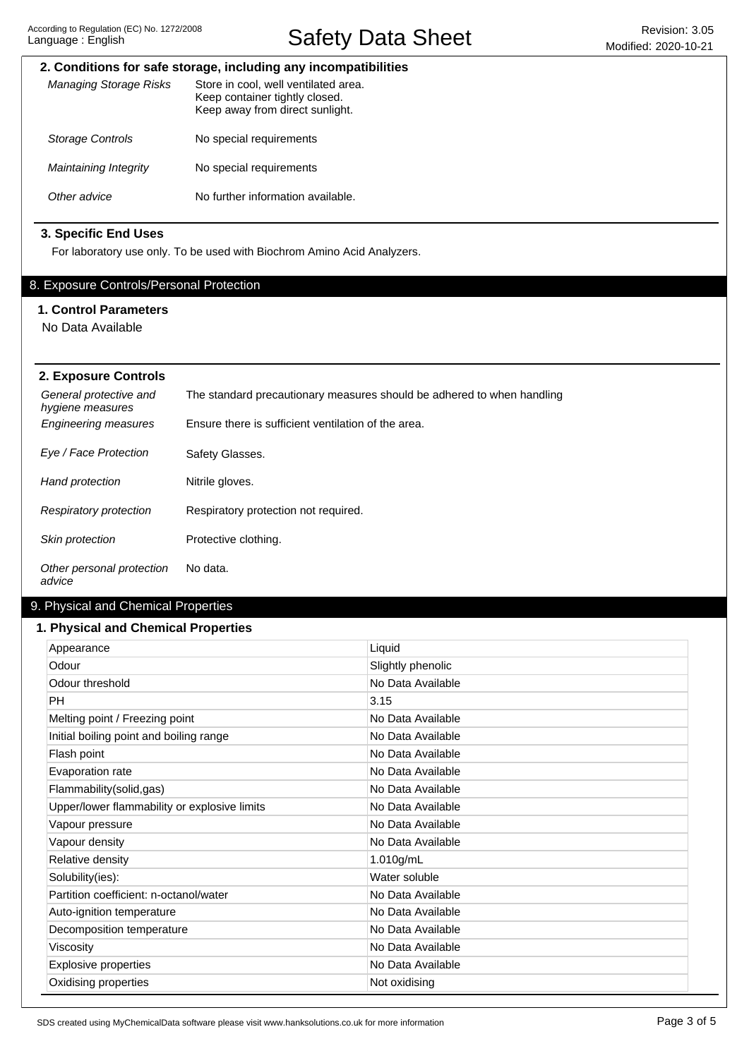Safety Data Sheet Revision: 3.05

# **2. Conditions for safe storage, including any incompatibilities**

| Managing Storage Risks  | Store in cool, well ventilated area.<br>Keep container tightly closed.<br>Keep away from direct sunlight. |
|-------------------------|-----------------------------------------------------------------------------------------------------------|
| <b>Storage Controls</b> | No special requirements                                                                                   |
| Maintaining Integrity   | No special requirements                                                                                   |
| Other advice            | No further information available.                                                                         |

# **3. Specific End Uses**

For laboratory use only. To be used with Biochrom Amino Acid Analyzers.

# 8. Exposure Controls/Personal Protection

# **1. Control Parameters**

No Data Available

| 2. Exposure Controls                       |                                                                        |
|--------------------------------------------|------------------------------------------------------------------------|
| General protective and<br>hygiene measures | The standard precautionary measures should be adhered to when handling |
| <b>Engineering measures</b>                | Ensure there is sufficient ventilation of the area.                    |
| Eye / Face Protection                      | Safety Glasses.                                                        |
| Hand protection                            | Nitrile gloves.                                                        |
| Respiratory protection                     | Respiratory protection not required.                                   |
| <b>Skin protection</b>                     | Protective clothing.                                                   |
| Other personal protection<br>advice        | No data.                                                               |

# 9. Physical and Chemical Properties

## **1. Physical and Chemical Properties**

| Appearance                                   | Liquid            |
|----------------------------------------------|-------------------|
| Odour                                        | Slightly phenolic |
| Odour threshold                              | No Data Available |
| PH                                           | 3.15              |
| Melting point / Freezing point               | No Data Available |
| Initial boiling point and boiling range      | No Data Available |
| Flash point                                  | No Data Available |
| Evaporation rate                             | No Data Available |
| Flammability(solid,gas)                      | No Data Available |
| Upper/lower flammability or explosive limits | No Data Available |
| Vapour pressure                              | No Data Available |
| Vapour density                               | No Data Available |
| Relative density                             | 1.010g/mL         |
| Solubility(ies):                             | Water soluble     |
| Partition coefficient: n-octanol/water       | No Data Available |
| Auto-ignition temperature                    | No Data Available |
| Decomposition temperature                    | No Data Available |
| Viscosity                                    | No Data Available |
| <b>Explosive properties</b>                  | No Data Available |
| Oxidising properties                         | Not oxidising     |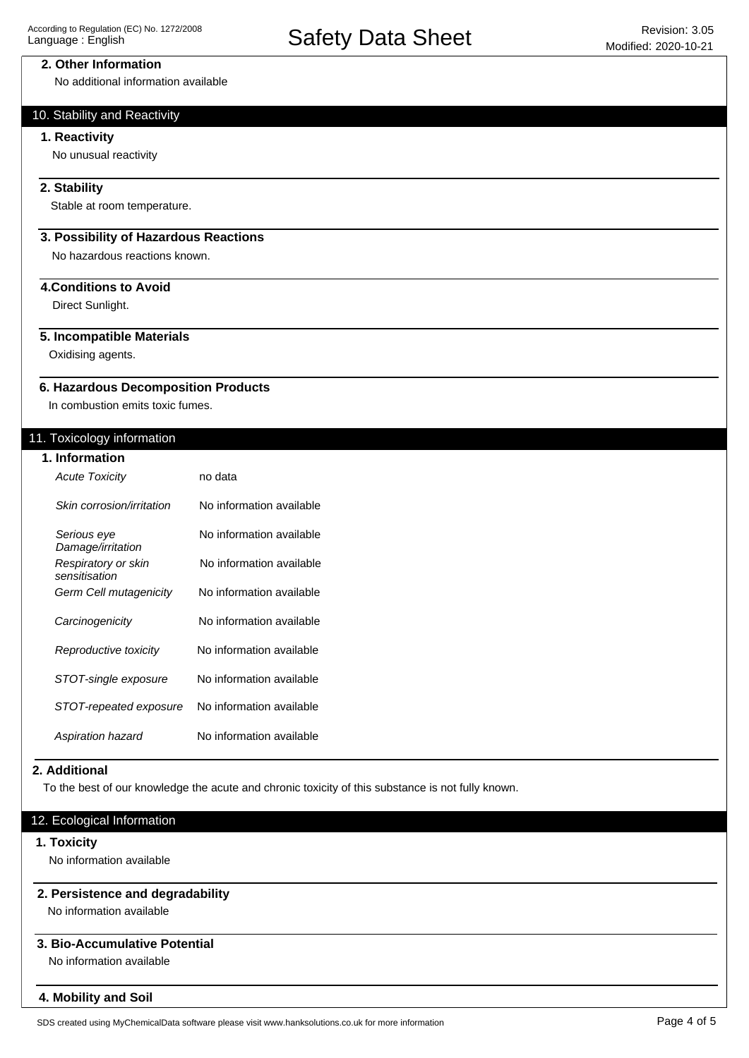## **2. Other Information**

No additional information available

# 10. Stability and Reactivity

## **1. Reactivity**

No unusual reactivity

## **2. Stability**

Stable at room temperature.

## **3. Possibility of Hazardous Reactions**

No hazardous reactions known.

# **4.Conditions to Avoid**

Direct Sunlight.

## **5. Incompatible Materials**

Oxidising agents.

#### **6. Hazardous Decomposition Products**

In combustion emits toxic fumes.

## 11. Toxicology information

| 1. Information                       |                          |
|--------------------------------------|--------------------------|
| <b>Acute Toxicity</b>                | no data                  |
| Skin corrosion/irritation            | No information available |
| Serious eye<br>Damage/irritation     | No information available |
| Respiratory or skin<br>sensitisation | No information available |
| Germ Cell mutagenicity               | No information available |
| Carcinogenicity                      | No information available |
| Reproductive toxicity                | No information available |
| STOT-single exposure                 | No information available |
| STOT-repeated exposure               | No information available |
| Aspiration hazard                    | No information available |

#### **2. Additional**

To the best of our knowledge the acute and chronic toxicity of this substance is not fully known.

# 12. Ecological Information

#### **1. Toxicity**

No information available

## **2. Persistence and degradability**

No information available

# **3. Bio-Accumulative Potential**

No information available

#### **4. Mobility and Soil**